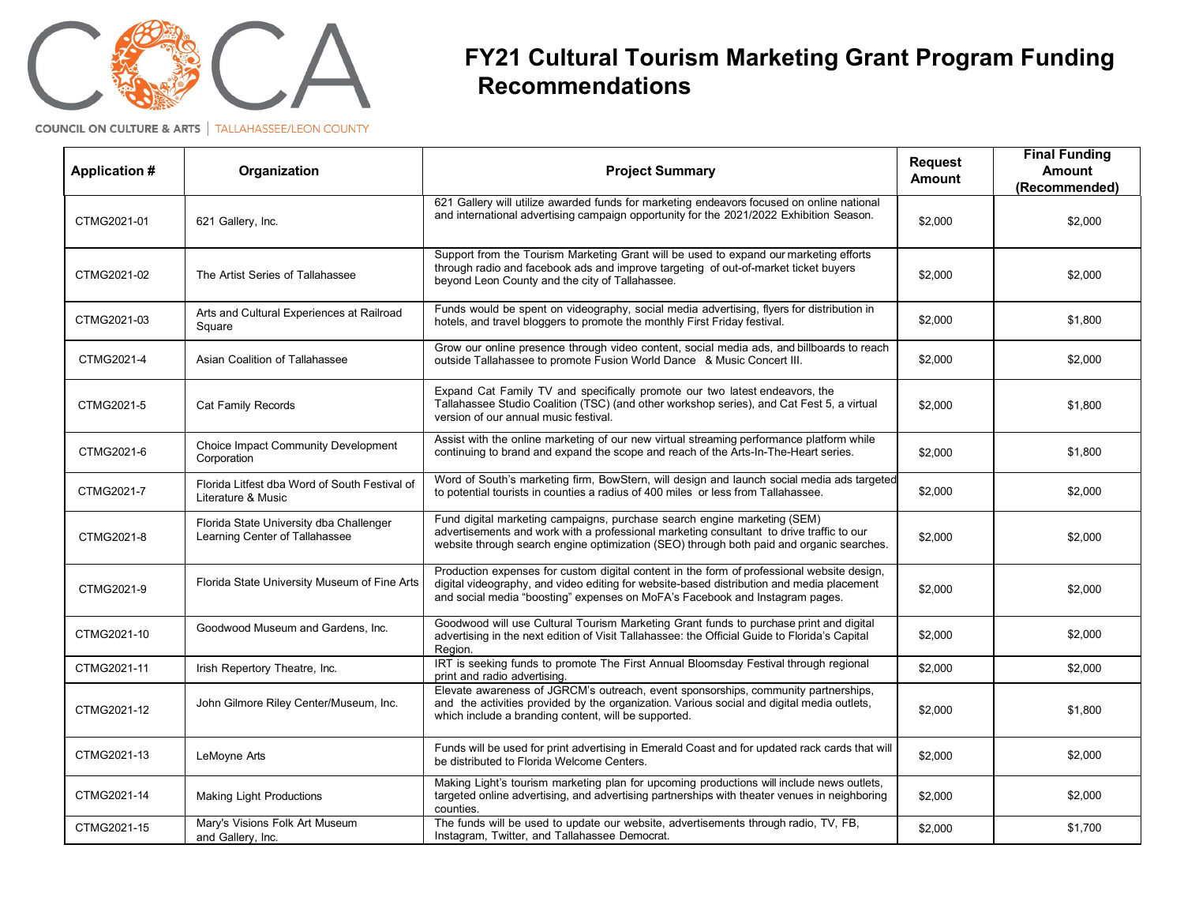## **FY21 Cultural Tourism Marketing Grant Program Funding Recommendations**

**COUNCIL ON CULTURE & ARTS | TALLAHASSEE/LEON COUNTY** 

| <b>Application #</b> | Organization                                                              | <b>Project Summary</b>                                                                                                                                                                                                                                                  | <b>Request</b><br><b>Amount</b> | <b>Final Funding</b><br><b>Amount</b><br>(Recommended) |
|----------------------|---------------------------------------------------------------------------|-------------------------------------------------------------------------------------------------------------------------------------------------------------------------------------------------------------------------------------------------------------------------|---------------------------------|--------------------------------------------------------|
| CTMG2021-01          | 621 Gallery, Inc.                                                         | 621 Gallery will utilize awarded funds for marketing endeavors focused on online national<br>and international advertising campaign opportunity for the 2021/2022 Exhibition Season.                                                                                    | \$2,000                         | \$2,000                                                |
| CTMG2021-02          | The Artist Series of Tallahassee                                          | Support from the Tourism Marketing Grant will be used to expand our marketing efforts<br>through radio and facebook ads and improve targeting of out-of-market ticket buyers<br>beyond Leon County and the city of Tallahassee.                                         | \$2.000                         | \$2,000                                                |
| CTMG2021-03          | Arts and Cultural Experiences at Railroad<br>Square                       | Funds would be spent on videography, social media advertising, flyers for distribution in<br>hotels, and travel bloggers to promote the monthly First Friday festival.                                                                                                  | \$2,000                         | \$1,800                                                |
| CTMG2021-4           | Asian Coalition of Tallahassee                                            | Grow our online presence through video content, social media ads, and billboards to reach<br>outside Tallahassee to promote Fusion World Dance & Music Concert III.                                                                                                     | \$2,000                         | \$2,000                                                |
| CTMG2021-5           | Cat Family Records                                                        | Expand Cat Family TV and specifically promote our two latest endeavors, the<br>Tallahassee Studio Coalition (TSC) (and other workshop series), and Cat Fest 5, a virtual<br>version of our annual music festival.                                                       | \$2,000                         | \$1,800                                                |
| CTMG2021-6           | Choice Impact Community Development<br>Corporation                        | Assist with the online marketing of our new virtual streaming performance platform while<br>continuing to brand and expand the scope and reach of the Arts-In-The-Heart series.                                                                                         | \$2,000                         | \$1,800                                                |
| CTMG2021-7           | Florida Litfest dba Word of South Festival of<br>Literature & Music       | Word of South's marketing firm, BowStern, will design and launch social media ads targeted<br>to potential tourists in counties a radius of 400 miles or less from Tallahassee.                                                                                         | \$2,000                         | \$2,000                                                |
| CTMG2021-8           | Florida State University dba Challenger<br>Learning Center of Tallahassee | Fund digital marketing campaigns, purchase search engine marketing (SEM)<br>advertisements and work with a professional marketing consultant to drive traffic to our<br>website through search engine optimization (SEO) through both paid and organic searches.        | \$2,000                         | \$2,000                                                |
| CTMG2021-9           | Florida State University Museum of Fine Arts                              | Production expenses for custom digital content in the form of professional website design,<br>digital videography, and video editing for website-based distribution and media placement<br>and social media "boosting" expenses on MoFA's Facebook and Instagram pages. | \$2,000                         | \$2,000                                                |
| CTMG2021-10          | Goodwood Museum and Gardens, Inc.                                         | Goodwood will use Cultural Tourism Marketing Grant funds to purchase print and digital<br>advertising in the next edition of Visit Tallahassee: the Official Guide to Florida's Capital<br>Region.                                                                      | \$2,000                         | \$2,000                                                |
| CTMG2021-11          | Irish Repertory Theatre, Inc.                                             | IRT is seeking funds to promote The First Annual Bloomsday Festival through regional<br>print and radio advertising.                                                                                                                                                    | \$2,000                         | \$2,000                                                |
| CTMG2021-12          | John Gilmore Riley Center/Museum, Inc.                                    | Elevate awareness of JGRCM's outreach, event sponsorships, community partnerships,<br>and the activities provided by the organization. Various social and digital media outlets,<br>which include a branding content, will be supported.                                | \$2,000                         | \$1,800                                                |
| CTMG2021-13          | LeMoyne Arts                                                              | Funds will be used for print advertising in Emerald Coast and for updated rack cards that will<br>be distributed to Florida Welcome Centers.                                                                                                                            | \$2,000                         | \$2,000                                                |
| CTMG2021-14          | <b>Making Light Productions</b>                                           | Making Light's tourism marketing plan for upcoming productions will include news outlets,<br>targeted online advertising, and advertising partnerships with theater venues in neighboring<br>counties.                                                                  | \$2,000                         | \$2,000                                                |
| CTMG2021-15          | Mary's Visions Folk Art Museum<br>and Gallery, Inc.                       | The funds will be used to update our website, advertisements through radio, TV, FB,<br>Instagram, Twitter, and Tallahassee Democrat.                                                                                                                                    | \$2,000                         | \$1,700                                                |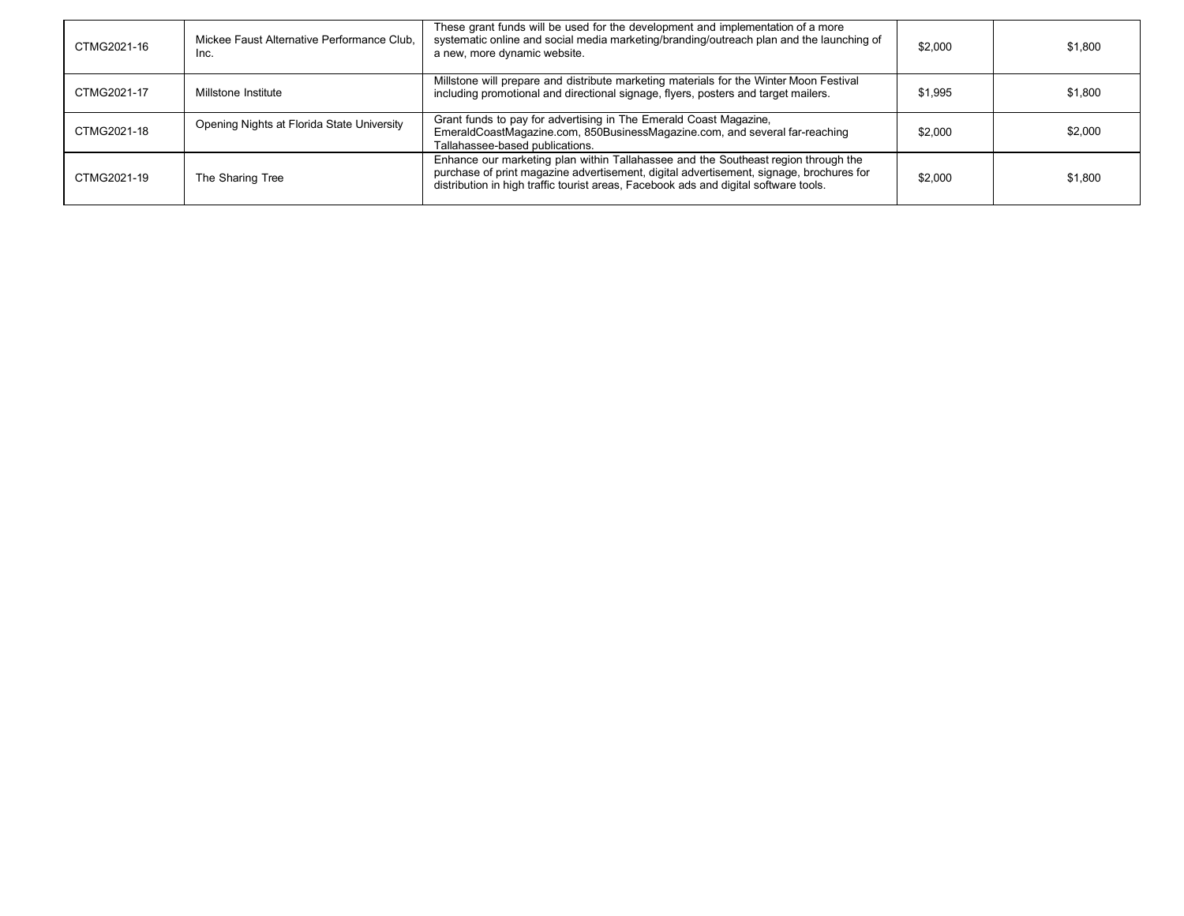| CTMG2021-16 | Mickee Faust Alternative Performance Club,<br>Inc. | These grant funds will be used for the development and implementation of a more<br>systematic online and social media marketing/branding/outreach plan and the launching of<br>a new, more dynamic website.                                                           | \$2,000 | \$1,800 |
|-------------|----------------------------------------------------|-----------------------------------------------------------------------------------------------------------------------------------------------------------------------------------------------------------------------------------------------------------------------|---------|---------|
| CTMG2021-17 | Millstone Institute                                | Millstone will prepare and distribute marketing materials for the Winter Moon Festival<br>including promotional and directional signage, flyers, posters and target mailers.                                                                                          | \$1,995 | \$1,800 |
| CTMG2021-18 | Opening Nights at Florida State University         | Grant funds to pay for advertising in The Emerald Coast Magazine,<br>EmeraldCoastMagazine.com, 850BusinessMagazine.com, and several far-reaching<br>Tallahassee-based publications.                                                                                   | \$2,000 | \$2,000 |
| CTMG2021-19 | The Sharing Tree                                   | Enhance our marketing plan within Tallahassee and the Southeast region through the<br>purchase of print magazine advertisement, digital advertisement, signage, brochures for<br>distribution in high traffic tourist areas, Facebook ads and digital software tools. | \$2,000 | \$1,800 |